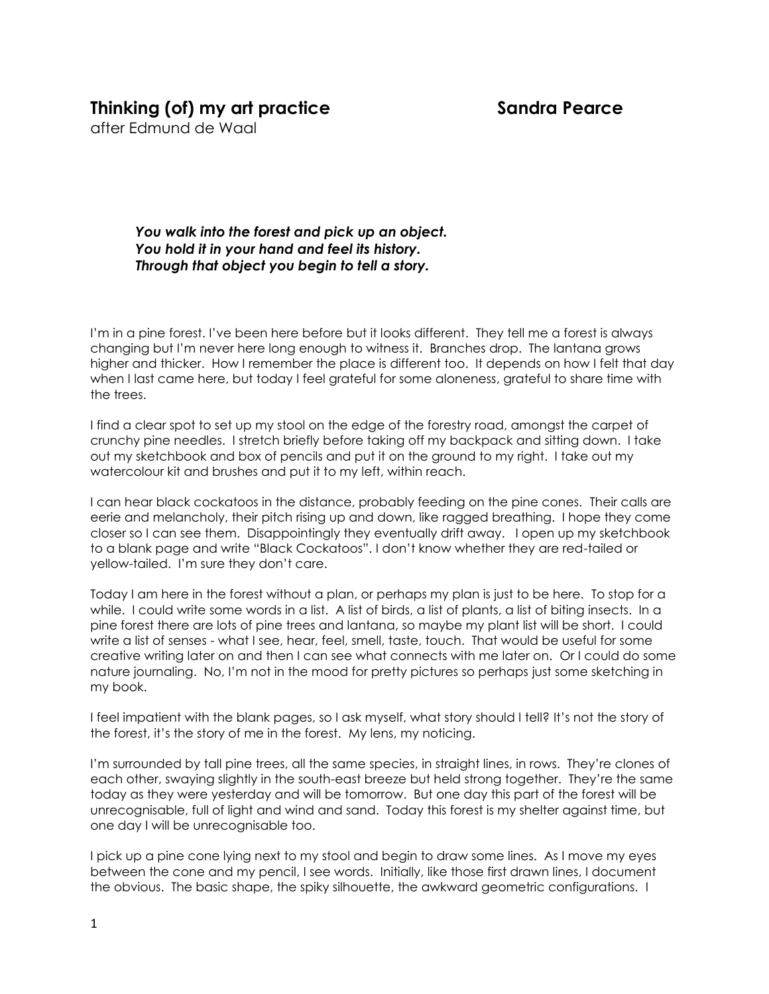## **Thinking (of) my art practice Sandra Pearce**

after Edmund de Waal

*You walk into the forest and pick up an object. You hold it in your hand and feel its history. Through that object you begin to tell a story.*

I'm in a pine forest. I've been here before but it looks different. They tell me a forest is always changing but I'm never here long enough to witness it. Branches drop. The lantana grows higher and thicker. How I remember the place is different too. It depends on how I felt that day when I last came here, but today I feel grateful for some aloneness, grateful to share time with the trees.

I find a clear spot to set up my stool on the edge of the forestry road, amongst the carpet of crunchy pine needles. I stretch briefly before taking off my backpack and sitting down. I take out my sketchbook and box of pencils and put it on the ground to my right. I take out my watercolour kit and brushes and put it to my left, within reach.

I can hear black cockatoos in the distance, probably feeding on the pine cones. Their calls are eerie and melancholy, their pitch rising up and down, like ragged breathing. I hope they come closer so I can see them. Disappointingly they eventually drift away. I open up my sketchbook to a blank page and write "Black Cockatoos". I don't know whether they are red-tailed or yellow-tailed. I'm sure they don't care.

Today I am here in the forest without a plan, or perhaps my plan is just to be here. To stop for a while. I could write some words in a list. A list of birds, a list of plants, a list of biting insects. In a pine forest there are lots of pine trees and lantana, so maybe my plant list will be short. I could write a list of senses - what I see, hear, feel, smell, taste, touch. That would be useful for some creative writing later on and then I can see what connects with me later on. Or I could do some nature journaling. No, I'm not in the mood for pretty pictures so perhaps just some sketching in my book.

I feel impatient with the blank pages, so I ask myself, what story should I tell? It's not the story of the forest, it's the story of me in the forest. My lens, my noticing.

I'm surrounded by tall pine trees, all the same species, in straight lines, in rows. They're clones of each other, swaying slightly in the south-east breeze but held strong together. They're the same today as they were yesterday and will be tomorrow. But one day this part of the forest will be unrecognisable, full of light and wind and sand. Today this forest is my shelter against time, but one day I will be unrecognisable too.

I pick up a pine cone lying next to my stool and begin to draw some lines. As I move my eyes between the cone and my pencil, I see words. Initially, like those first drawn lines, I document the obvious. The basic shape, the spiky silhouette, the awkward geometric configurations. I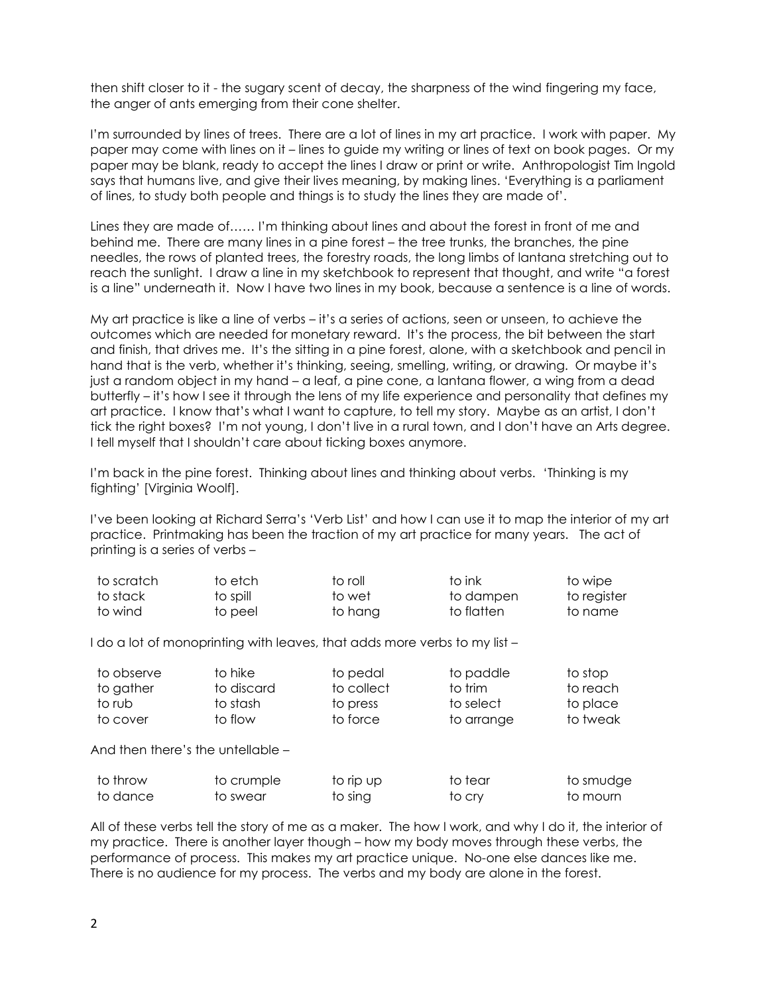then shift closer to it - the sugary scent of decay, the sharpness of the wind fingering my face, the anger of ants emerging from their cone shelter.

I'm surrounded by lines of trees. There are a lot of lines in my art practice. I work with paper. My paper may come with lines on it – lines to guide my writing or lines of text on book pages. Or my paper may be blank, ready to accept the lines I draw or print or write. Anthropologist Tim Ingold says that humans live, and give their lives meaning, by making lines. 'Everything is a parliament of lines, to study both people and things is to study the lines they are made of'.

Lines they are made of…… I'm thinking about lines and about the forest in front of me and behind me. There are many lines in a pine forest – the tree trunks, the branches, the pine needles, the rows of planted trees, the forestry roads, the long limbs of lantana stretching out to reach the sunlight. I draw a line in my sketchbook to represent that thought, and write "a forest is a line" underneath it. Now I have two lines in my book, because a sentence is a line of words.

My art practice is like a line of verbs – it's a series of actions, seen or unseen, to achieve the outcomes which are needed for monetary reward. It's the process, the bit between the start and finish, that drives me. It's the sitting in a pine forest, alone, with a sketchbook and pencil in hand that is the verb, whether it's thinking, seeing, smelling, writing, or drawing. Or maybe it's just a random object in my hand – a leaf, a pine cone, a lantana flower, a wing from a dead butterfly – it's how I see it through the lens of my life experience and personality that defines my art practice. I know that's what I want to capture, to tell my story. Maybe as an artist, I don't tick the right boxes? I'm not young, I don't live in a rural town, and I don't have an Arts degree. I tell myself that I shouldn't care about ticking boxes anymore.

I'm back in the pine forest. Thinking about lines and thinking about verbs. 'Thinking is my fighting' [Virginia Woolf].

I've been looking at Richard Serra's 'Verb List' and how I can use it to map the interior of my art practice. Printmaking has been the traction of my art practice for many years. The act of printing is a series of verbs –

| to scratch | to etch  | to roll | to ink     | to wipe     |
|------------|----------|---------|------------|-------------|
| to stack   | to spill | to wet  | to dampen  | to register |
| to wind    | to peel  | to hang | to flatten | to name     |

I do a lot of monoprinting with leaves, that adds more verbs to my list –

| to observe | to hike    | to pedal   | to paddle  | to stop  |
|------------|------------|------------|------------|----------|
| to gather  | to discard | to collect | to trim    | to reach |
| to rub     | to stash   | to press   | to select  | to place |
| to cover   | to flow    | to force   | to arrange | to tweak |

And then there's the untellable –

| to throw | to crumple | to rip up | to tear | to smudge |
|----------|------------|-----------|---------|-----------|
| to dance | to swear   | to sing   | to cry  | to mourn  |

All of these verbs tell the story of me as a maker. The how I work, and why I do it, the interior of my practice. There is another layer though – how my body moves through these verbs, the performance of process. This makes my art practice unique. No-one else dances like me. There is no audience for my process. The verbs and my body are alone in the forest.